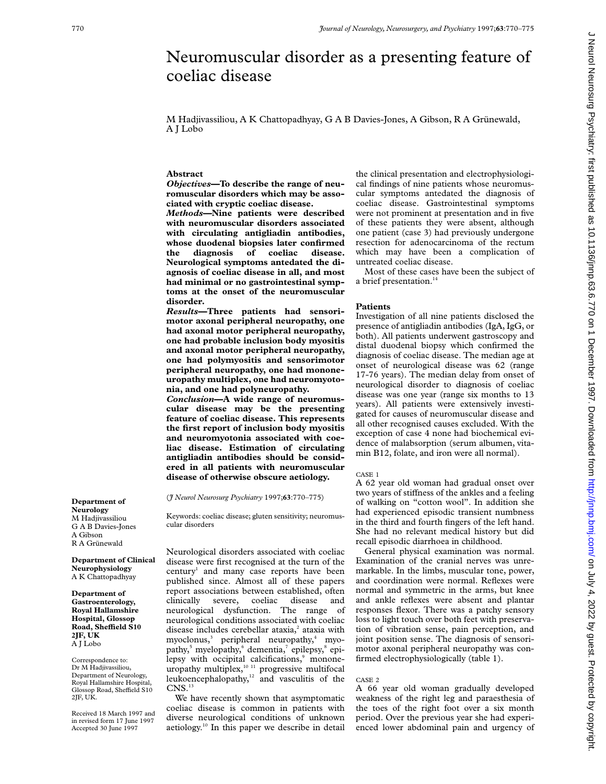# Neuromuscular disorder as a presenting feature of coeliac disease

M Hadjivassiliou, A K Chattopadhyay, G A B Davies-Jones, A Gibson, R A Grünewald, A J Lobo

## **Abstract**

*Objectives***—To describe the range of neuromuscular disorders which may be associated with cryptic coeliac disease.**

*Methods***—Nine patients were described with neuromuscular disorders associated with circulating antigliadin antibodies, whose duodenal biopsies later confirmed the diagnosis of coeliac disease. Neurological symptoms antedated the diagnosis of coeliac disease in all, and most had minimal or no gastrointestinal symptoms at the onset of the neuromuscular disorder.**

*Results***—Three patients had sensorimotor axonal peripheral neuropathy, one had axonal motor peripheral neuropathy, one had probable inclusion body myositis and axonal motor peripheral neuropathy, one had polymyositis and sensorimotor peripheral neuropathy, one had mononeuropathy multiplex, one had neuromyotonia, and one had polyneuropathy.**

*Conclusion***—A wide range of neuromuscular disease may be the presenting feature of coeliac disease. This represents the first report of inclusion body myositis and neuromyotonia associated with coeliac disease. Estimation of circulating antigliadin antibodies should be considered in all patients with neuromuscular disease of otherwise obscure aetiology.**

(*J Neurol Neurosurg Psychiatry* 1997;**63**:770–775)

Keywords: coeliac disease; gluten sensitivity; neuromuscular disorders

Neurological disorders associated with coeliac disease were first recognised at the turn of the century<sup>1</sup> and many case reports have been published since. Almost all of these papers report associations between established, often clinically severe, coeliac disease and neurological dysfunction. The range of neurological conditions associated with coeliac disease includes cerebellar ataxia, $2$  ataxia with  $myoclonus<sub>3</sub><sup>3</sup>$  peripheral neuropathy,<sup>4</sup> myopathy, $5$  myelopathy, $6$  dementia, $7$  epilepsy, $8$  epilepsy with occipital calcifications,<sup>9</sup> mononeuropathy multiplex,<sup>10 11</sup> progressive multifocal leukoencephalopathy,<sup>12</sup> and vasculitis of the  $\mathrm{CNS}.^{13}$ 

We have recently shown that asymptomatic coeliac disease is common in patients with diverse neurological conditions of unknown aetiology.10 In this paper we describe in detail the clinical presentation and electrophysiological findings of nine patients whose neuromuscular symptoms antedated the diagnosis of coeliac disease. Gastrointestinal symptoms were not prominent at presentation and in five of these patients they were absent, although one patient (case 3) had previously undergone resection for adenocarcinoma of the rectum which may have been a complication of untreated coeliac disease.

Most of these cases have been the subject of a brief presentation.<sup>14</sup>

## **Patients**

Investigation of all nine patients disclosed the presence of antigliadin antibodies (IgA, IgG, or both). All patients underwent gastroscopy and distal duodenal biopsy which confirmed the diagnosis of coeliac disease. The median age at onset of neurological disease was 62 (range 17-76 years). The median delay from onset of neurological disorder to diagnosis of coeliac disease was one year (range six months to 13 years). All patients were extensively investigated for causes of neuromuscular disease and all other recognised causes excluded. With the exception of case 4 none had biochemical evidence of malabsorption (serum albumen, vitamin B12, folate, and iron were all normal).

## CASE 1

A 62 year old woman had gradual onset over two years of stiffness of the ankles and a feeling of walking on "cotton wool". In addition she had experienced episodic transient numbness in the third and fourth fingers of the left hand. She had no relevant medical history but did recall episodic diarrhoea in childhood.

General physical examination was normal. Examination of the cranial nerves was unremarkable. In the limbs, muscular tone, power, and coordination were normal. Reflexes were normal and symmetric in the arms, but knee and ankle reflexes were absent and plantar responses flexor. There was a patchy sensory loss to light touch over both feet with preservation of vibration sense, pain perception, and joint position sense. The diagnosis of sensorimotor axonal peripheral neuropathy was confirmed electrophysiologically (table 1).

## CASE 2

A 66 year old woman gradually developed weakness of the right leg and paraesthesia of the toes of the right foot over a six month period. Over the previous year she had experienced lower abdominal pain and urgency of

**Department of Neurology** M Hadiivassiliou G A B Davies-Jones A Gibson R A Grünewald

**Department of Clinical Neurophysiology** A K Chattopadhyay

**Department of Gastroenterology, Royal Hallamshire Hospital, Glossop Road, SheYeld S10 2JF, UK** A J Lobo

Correspondence to: Dr M Hadjivassiliou, Department of Neurology, Royal Hallamshire Hospital, Glossop Road, Sheffield S10 2JF, UK.

Received 18 March 1997 and in revised form 17 June 1997 Accepted 30 June 1997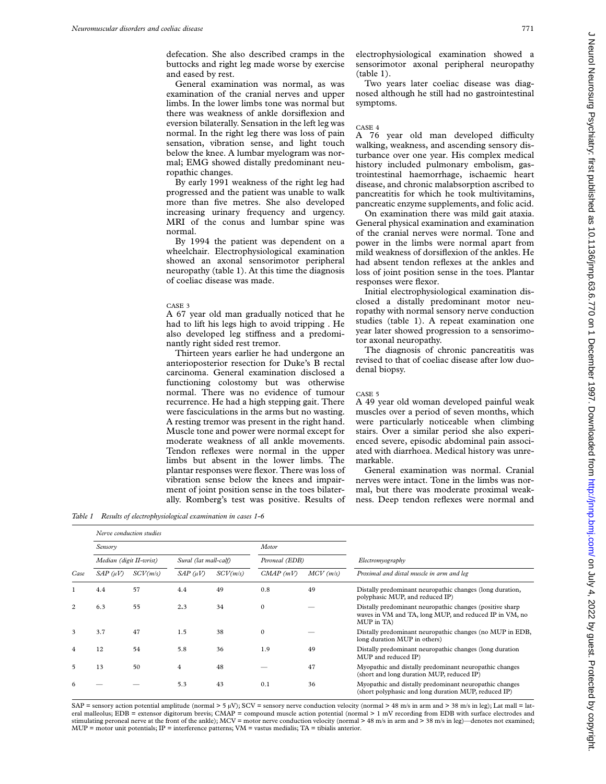defecation. She also described cramps in the buttocks and right leg made worse by exercise and eased by rest.

General examination was normal, as was examination of the cranial nerves and upper limbs. In the lower limbs tone was normal but there was weakness of ankle dorsiflexion and eversion bilaterally. Sensation in the left leg was normal. In the right leg there was loss of pain sensation, vibration sense, and light touch below the knee. A lumbar myelogram was normal; EMG showed distally predominant neuropathic changes.

By early 1991 weakness of the right leg had progressed and the patient was unable to walk more than five metres. She also developed increasing urinary frequency and urgency. MRI of the conus and lumbar spine was normal.

By 1994 the patient was dependent on a wheelchair. Electrophysiological examination showed an axonal sensorimotor peripheral neuropathy (table 1). At this time the diagnosis of coeliac disease was made.

## CASE 3

A 67 year old man gradually noticed that he had to lift his legs high to avoid tripping . He also developed leg stiffness and a predominantly right sided rest tremor.

Thirteen years earlier he had undergone an anterioposterior resection for Duke's B rectal carcinoma. General examination disclosed a functioning colostomy but was otherwise normal. There was no evidence of tumour recurrence. He had a high stepping gait. There were fasciculations in the arms but no wasting. A resting tremor was present in the right hand. Muscle tone and power were normal except for moderate weakness of all ankle movements. Tendon reflexes were normal in the upper limbs but absent in the lower limbs. The plantar responses were flexor. There was loss of vibration sense below the knees and impairment of joint position sense in the toes bilaterally. Romberg's test was positive. Results of

*Table 1 Results of electrophysiological examination in cases 1-6*

*Nerve conduction studies*

electrophysiological examination showed a sensorimotor axonal peripheral neuropathy (table 1).

Two years later coeliac disease was diagnosed although he still had no gastrointestinal symptoms.

#### CASE 4

A 76 year old man developed difficulty walking, weakness, and ascending sensory disturbance over one year. His complex medical history included pulmonary embolism, gastrointestinal haemorrhage, ischaemic heart disease, and chronic malabsorption ascribed to pancreatitis for which he took multivitamins, pancreatic enzyme supplements, and folic acid.

On examination there was mild gait ataxia. General physical examination and examination of the cranial nerves were normal. Tone and power in the limbs were normal apart from mild weakness of dorsiflexion of the ankles. He had absent tendon reflexes at the ankles and loss of joint position sense in the toes. Plantar responses were flexor.

Initial electrophysiological examination disclosed a distally predominant motor neuropathy with normal sensory nerve conduction studies (table 1). A repeat examination one year later showed progression to a sensorimotor axonal neuropathy.

The diagnosis of chronic pancreatitis was revised to that of coeliac disease after low duodenal biopsy.

#### CASE 5

A 49 year old woman developed painful weak muscles over a period of seven months, which were particularly noticeable when climbing stairs. Over a similar period she also experienced severe, episodic abdominal pain associated with diarrhoea. Medical history was unremarkable.

General examination was normal. Cranial nerves were intact. Tone in the limbs was normal, but there was moderate proximal weakness. Deep tendon reflexes were normal and

|                |                         | <i>iverve comancion statues</i> |                       |          |                |             |                                                                                                                                   |  |  |
|----------------|-------------------------|---------------------------------|-----------------------|----------|----------------|-------------|-----------------------------------------------------------------------------------------------------------------------------------|--|--|
|                | Sensory                 |                                 |                       |          | Motor          |             |                                                                                                                                   |  |  |
|                | Median (digit II-wrist) |                                 | Sural (lat mall-calf) |          | Peroneal (EDB) |             | Electromyography                                                                                                                  |  |  |
| Case           | $SAP$ ( $\mu V$ )       | SCV(m/s)                        | $SAP$ ( $\mu V$ )     | SCV(m/s) | CMAP(mV)       | $MCV$ (m/s) | Proximal and distal muscle in arm and leg                                                                                         |  |  |
|                | 4.4                     | 57                              | 4.4                   | 49       | 0.8            | 49          | Distally predominant neuropathic changes (long duration,<br>polyphasic MUP, and reduced IP)                                       |  |  |
| $\overline{c}$ | 6.3                     | 55                              | 2.3                   | 34       | $\Omega$       |             | Distally predominant neuropathic changes (positive sharp)<br>waves in VM and TA, long MUP, and reduced IP in VM, no<br>MUP in TA) |  |  |
| 3              | 3.7                     | 47                              | 1.5                   | 38       | $\mathbf{0}$   |             | Distally predominant neuropathic changes (no MUP in EDB,<br>long duration MUP in others)                                          |  |  |
| $\overline{4}$ | 12                      | 54                              | 5.8                   | 36       | 1.9            | 49          | Distally predominant neuropathic changes (long duration<br>MUP and reduced IP)                                                    |  |  |
| 5              | 13                      | 50                              | $\overline{4}$        | 48       |                | 47          | Myopathic and distally predominant neuropathic changes<br>(short and long duration MUP, reduced IP)                               |  |  |
| 6              |                         |                                 | 5.3                   | 43       | 0.1            | 36          | Myopathic and distally predominant neuropathic changes<br>(short polyphasic and long duration MUP, reduced IP)                    |  |  |
|                |                         |                                 |                       |          |                |             |                                                                                                                                   |  |  |

SAP = sensory action potential amplitude (normal > 5 µV); SCV = sensory nerve conduction velocity (normal > 48 m/s in arm and > 38 m/s in leg); Lat mall = lateral malleolus; EDB = extensor digitorum brevis; CMAP = compound muscle action potential (normal > 1 mV recording from EDB with surface electrodes and stimulating peroneal nerve at the front of the ankle); MCV = motor nerve conduction velocity (normal > 48 m/s in arm and > 38 m/s in leg)—denotes not examined; MUP = motor unit potentials; IP = interference patterns; VM = vastus medialis; TA = tibialis anterior.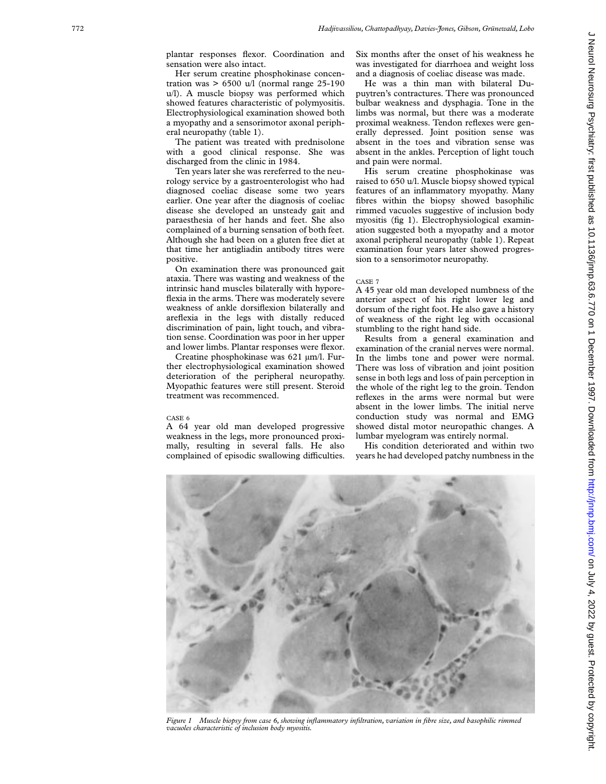plantar responses flexor. Coordination and sensation were also intact.

Her serum creatine phosphokinase concentration was  $> 6500$  u/l (normal range 25-190) u/l). A muscle biopsy was performed which showed features characteristic of polymyositis. Electrophysiological examination showed both a myopathy and a sensorimotor axonal peripheral neuropathy (table 1).

The patient was treated with prednisolone with a good clinical response. She was discharged from the clinic in 1984.

Ten years later she was rereferred to the neurology service by a gastroenterologist who had diagnosed coeliac disease some two years earlier. One year after the diagnosis of coeliac disease she developed an unsteady gait and paraesthesia of her hands and feet. She also complained of a burning sensation of both feet. Although she had been on a gluten free diet at that time her antigliadin antibody titres were positive.

On examination there was pronounced gait ataxia. There was wasting and weakness of the intrinsic hand muscles bilaterally with hyporeflexia in the arms. There was moderately severe weakness of ankle dorsiflexion bilaterally and areflexia in the legs with distally reduced discrimination of pain, light touch, and vibration sense. Coordination was poor in her upper and lower limbs. Plantar responses were flexor.

Creatine phosphokinase was 621 µm/l. Further electrophysiological examination showed deterioration of the peripheral neuropathy. Myopathic features were still present. Steroid treatment was recommenced.

#### CASE 6

A 64 year old man developed progressive weakness in the legs, more pronounced proximally, resulting in several falls. He also complained of episodic swallowing difficulties. Six months after the onset of his weakness he was investigated for diarrhoea and weight loss and a diagnosis of coeliac disease was made.

He was a thin man with bilateral Dupuytren's contractures. There was pronounced bulbar weakness and dysphagia. Tone in the limbs was normal, but there was a moderate proximal weakness. Tendon reflexes were generally depressed. Joint position sense was absent in the toes and vibration sense was absent in the ankles. Perception of light touch and pain were normal.

His serum creatine phosphokinase was raised to 650 u/l. Muscle biopsy showed typical features of an inflammatory myopathy. Many fibres within the biopsy showed basophilic rimmed vacuoles suggestive of inclusion body myositis (fig 1). Electrophysiological examination suggested both a myopathy and a motor axonal peripheral neuropathy (table 1). Repeat examination four years later showed progression to a sensorimotor neuropathy.

## CASE 7

A 45 year old man developed numbness of the anterior aspect of his right lower leg and dorsum of the right foot. He also gave a history of weakness of the right leg with occasional stumbling to the right hand side.

Results from a general examination and examination of the cranial nerves were normal. In the limbs tone and power were normal. There was loss of vibration and joint position sense in both legs and loss of pain perception in the whole of the right leg to the groin. Tendon reflexes in the arms were normal but were absent in the lower limbs. The initial nerve conduction study was normal and EMG showed distal motor neuropathic changes. A lumbar myelogram was entirely normal.

His condition deteriorated and within two years he had developed patchy numbness in the



*Figure 1 Muscle biopsy from case 6, showing inflammatory infiltration, variation in fibre size, and basophilic rimmed vacuoles characteristic of inclusion body myositis.*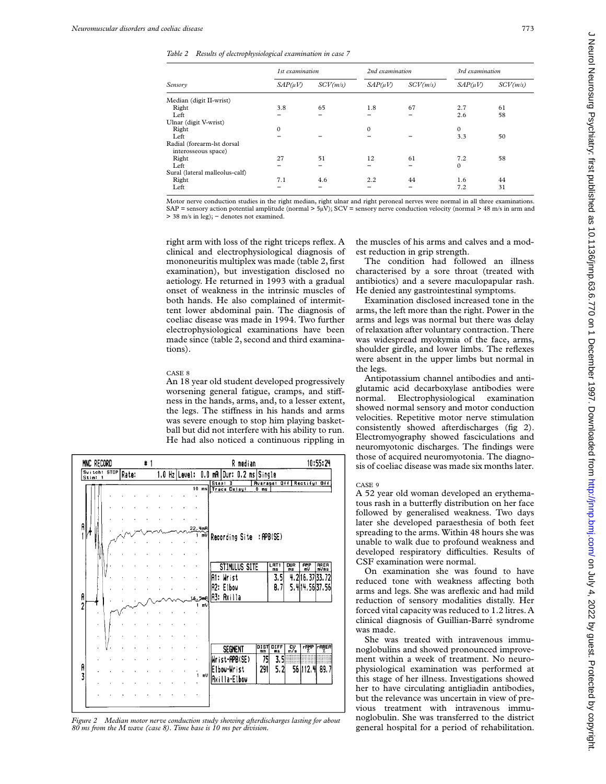*Table 2 Results of electrophysiological examination in case 7*

|                                                   | 1st examination |          | 2nd examination |          | 3rd examination |          |
|---------------------------------------------------|-----------------|----------|-----------------|----------|-----------------|----------|
| Sensory                                           | $SAP(\mu V)$    | SCV(m/s) | $SAP(\mu V)$    | SCV(m/s) | $SAP(\mu V)$    | SCV(m/s) |
| Median (digit II-wrist)                           |                 |          |                 |          |                 |          |
| Right                                             | 3.8             | 65       | 1.8             | 67       | 2.7             | 61       |
| Left                                              |                 |          |                 |          | 2.6             | 58       |
| Ulnar (digit V-wrist)                             |                 |          |                 |          |                 |          |
| Right                                             | $\Omega$        |          | $\Omega$        |          | $\mathbf{0}$    |          |
| Left                                              |                 |          |                 |          | 3.3             | 50       |
| Radial (forearm-lst dorsal<br>interosseous space) |                 |          |                 |          |                 |          |
| Right                                             | 27              | 51       | 12              | 61       | 7.2             | 58       |
| Left                                              |                 |          |                 |          | $\mathbf{0}$    |          |
| Sural (lateral malleolus-calf)                    |                 |          |                 |          |                 |          |
| Right                                             | 7.1             | 4.6      | 2.2             | 44       | 1.6             | 44       |
| Left                                              |                 |          |                 |          | 7.2             | 31       |

Motor nerve conduction studies in the right median, right ulnar and right peroneal nerves were normal in all three examinations. SAP = sensory action potential amplitude (normal  $> 5\mu\text{V}$ ); SCV = sensory nerve conduction velocity (normal  $> 48$  m/s in arm and > 38 m/s in leg); − denotes not examined.

right arm with loss of the right triceps reflex. A clinical and electrophysiological diagnosis of mononeuritis multiplex was made (table 2, first examination), but investigation disclosed no aetiology. He returned in 1993 with a gradual onset of weakness in the intrinsic muscles of both hands. He also complained of intermittent lower abdominal pain. The diagnosis of coeliac disease was made in 1994. Two further electrophysiological examinations have been made since (table 2, second and third examinations).

### CASE 8

An 18 year old student developed progressively worsening general fatigue, cramps, and stiffness in the hands, arms, and, to a lesser extent, the legs. The stiffness in his hands and arms was severe enough to stop him playing basketball but did not interfere with his ability to run. He had also noticed a continuous rippling in

| MNC RECORD              |       | # |  |               |          | R median                                                | 10:55:24            |  |
|-------------------------|-------|---|--|---------------|----------|---------------------------------------------------------|---------------------|--|
| Switch: STOP<br>Stim: 1 | Rate: |   |  | 1.0 Hz Level: | 0.0      | mA<br>0.2 ms Single<br>Dur:                             |                     |  |
|                         |       |   |  |               | $10$ ms  | <b>Hverage: Off</b><br>Step! 3                          | Rectify! Off        |  |
|                         |       |   |  |               |          | <b>Trace Delay:</b><br>Ō<br>ms                          |                     |  |
|                         |       |   |  |               |          |                                                         |                     |  |
|                         |       |   |  |               |          |                                                         |                     |  |
|                         |       |   |  |               |          |                                                         |                     |  |
| A                       |       |   |  |               | 22. Hm R |                                                         |                     |  |
|                         |       |   |  |               | 1 mV     | Recording Site : APB(SE)                                |                     |  |
|                         |       |   |  |               |          |                                                         |                     |  |
|                         |       |   |  |               |          |                                                         |                     |  |
|                         |       |   |  |               |          | $\frac{LRT1}{ms}$<br>DUR<br>ms<br>뺞<br>STIMULUS SITE    | <b>AREA</b><br>mVms |  |
|                         |       |   |  |               |          | 4.<br>2                                                 |                     |  |
|                         |       |   |  |               |          | 3.5<br>Wrist<br> A1:                                    | 16.37 33.72         |  |
|                         |       |   |  |               |          | A <sub>2</sub> :<br>8,7<br>Elbou                        | 5.414.5637.56       |  |
| A<br>2                  |       |   |  |               |          | A3: Axilla                                              |                     |  |
|                         |       |   |  | 1             | mV       |                                                         |                     |  |
|                         |       |   |  |               |          |                                                         |                     |  |
|                         |       |   |  |               |          |                                                         |                     |  |
|                         |       |   |  |               |          |                                                         |                     |  |
|                         |       |   |  |               |          | DIFF<br>ms<br>DIST<br>mm<br>$\frac{cy}{m/s}$<br>SEGMENT | rfilip<br>rarea     |  |
|                         |       |   |  |               |          |                                                         |                     |  |
|                         |       |   |  |               |          | 3.5<br>Wrist-APB(SE)<br>75                              |                     |  |
| A<br>3                  |       |   |  | 1             | mV       | 5.2<br>291<br>56 112. 내<br>Elbow-Wrist                  | 89.7                |  |
|                         |       |   |  |               |          | Axilla-Elbow                                            |                     |  |
|                         |       |   |  |               |          |                                                         |                     |  |
|                         |       |   |  |               |          |                                                         |                     |  |
|                         |       |   |  |               |          |                                                         |                     |  |

*Figure 2 Median motor nerve conduction study showing afterdischarges lasting for about 80 ms from the M wave (case 8). Time base is 10 ms per division.*

the muscles of his arms and calves and a modest reduction in grip strength.

The condition had followed an illness characterised by a sore throat (treated with antibiotics) and a severe maculopapular rash. He denied any gastrointestinal symptoms.

Examination disclosed increased tone in the arms, the left more than the right. Power in the arms and legs was normal but there was delay of relaxation after voluntary contraction. There was widespread myokymia of the face, arms, shoulder girdle, and lower limbs. The reflexes were absent in the upper limbs but normal in the legs.

Antipotassium channel antibodies and antiglutamic acid decarboxylase antibodies were normal. Electrophysiological examination showed normal sensory and motor conduction velocities. Repetitive motor nerve stimulation consistently showed afterdischarges (fig 2). Electromyography showed fasciculations and neuromyotonic discharges. The findings were those of acquired neuromyotonia. The diagnosis of coeliac disease was made six months later.

#### CASE 9

A 52 year old woman developed an erythematous rash in a butterfly distribution on her face followed by generalised weakness. Two days later she developed paraesthesia of both feet spreading to the arms. Within 48 hours she was unable to walk due to profound weakness and developed respiratory difficulties. Results of CSF examination were normal.

On examination she was found to have reduced tone with weakness affecting both arms and legs. She was areflexic and had mild reduction of sensory modalities distally. Her forced vital capacity was reduced to 1.2 litres. A clinical diagnosis of Guillian-Barré syndrome was made.

She was treated with intravenous immunoglobulins and showed pronounced improvement within a week of treatment. No neurophysiological examination was performed at this stage of her illness. Investigations showed her to have circulating antigliadin antibodies, but the relevance was uncertain in view of previous treatment with intravenous immunoglobulin. She was transferred to the district general hospital for a period of rehabilitation.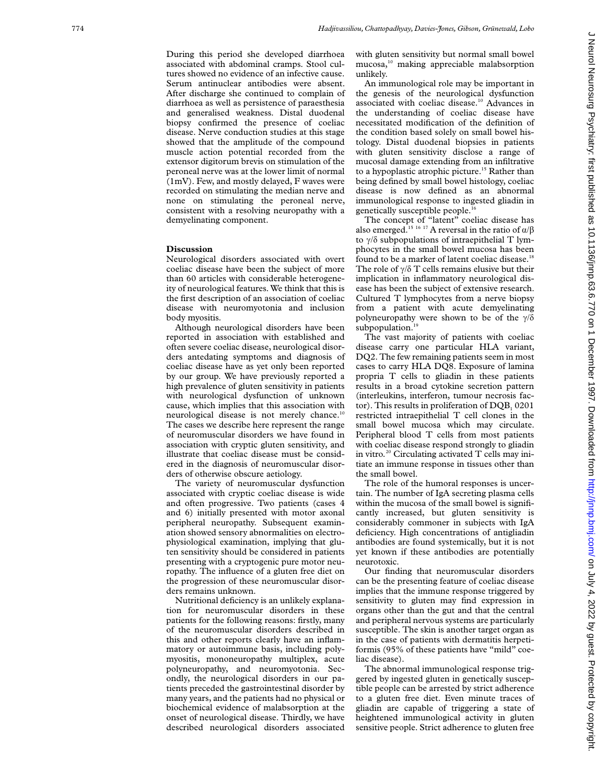During this period she developed diarrhoea associated with abdominal cramps. Stool cultures showed no evidence of an infective cause. Serum antinuclear antibodies were absent. After discharge she continued to complain of diarrhoea as well as persistence of paraesthesia and generalised weakness. Distal duodenal biopsy confirmed the presence of coeliac disease. Nerve conduction studies at this stage showed that the amplitude of the compound muscle action potential recorded from the extensor digitorum brevis on stimulation of the peroneal nerve was at the lower limit of normal (1mV). Few, and mostly delayed, F waves were recorded on stimulating the median nerve and none on stimulating the peroneal nerve, consistent with a resolving neuropathy with a demyelinating component.

## **Discussion**

Neurological disorders associated with overt coeliac disease have been the subject of more than 60 articles with considerable heterogeneity of neurological features. We think that this is the first description of an association of coeliac disease with neuromyotonia and inclusion body myositis.

Although neurological disorders have been reported in association with established and often severe coeliac disease, neurological disorders antedating symptoms and diagnosis of coeliac disease have as yet only been reported by our group. We have previously reported a high prevalence of gluten sensitivity in patients with neurological dysfunction of unknown cause, which implies that this association with neurological disease is not merely chance.10 The cases we describe here represent the range of neuromuscular disorders we have found in association with cryptic gluten sensitivity, and illustrate that coeliac disease must be considered in the diagnosis of neuromuscular disorders of otherwise obscure aetiology.

The variety of neuromuscular dysfunction associated with cryptic coeliac disease is wide and often progressive. Two patients (cases 4 and 6) initially presented with motor axonal peripheral neuropathy. Subsequent examination showed sensory abnormalities on electrophysiological examination, implying that gluten sensitivity should be considered in patients presenting with a cryptogenic pure motor neuropathy. The influence of a gluten free diet on the progression of these neuromuscular disorders remains unknown.

Nutritional deficiency is an unlikely explanation for neuromuscular disorders in these patients for the following reasons: firstly, many of the neuromuscular disorders described in this and other reports clearly have an inflammatory or autoimmune basis, including polymyositis, mononeuropathy multiplex, acute polyneuropathy, and neuromyotonia. Secondly, the neurological disorders in our patients preceded the gastrointestinal disorder by many years, and the patients had no physical or biochemical evidence of malabsorption at the onset of neurological disease. Thirdly, we have described neurological disorders associated

with gluten sensitivity but normal small bowel mucosa,10 making appreciable malabsorption unlikely.

An immunological role may be important in the genesis of the neurological dysfunction associated with coeliac disease.<sup>10</sup> Advances in the understanding of coeliac disease have necessitated modification of the definition of the condition based solely on small bowel histology. Distal duodenal biopsies in patients with gluten sensitivity disclose a range of mucosal damage extending from an infiltrative to a hypoplastic atrophic picture.<sup>15</sup> Rather than being defined by small bowel histology, coeliac disease is now defined as an abnormal immunological response to ingested gliadin in genetically susceptible people.<sup>16</sup>

The concept of "latent" coeliac disease has also emerged.<sup>15 16</sup> <sup>17</sup> A reversal in the ratio of  $\alpha/\beta$ to  $\gamma/\delta$  subpopulations of intraepithelial T lymphocytes in the small bowel mucosa has been found to be a marker of latent coeliac disease.<sup>18</sup> The role of  $\gamma/\delta$  T cells remains elusive but their implication in inflammatory neurological disease has been the subject of extensive research. Cultured T lymphocytes from a nerve biopsy from a patient with acute demyelinating polyneuropathy were shown to be of the  $\gamma/\delta$ subpopulation.<sup>19</sup>

The vast majority of patients with coeliac disease carry one particular HLA variant, DQ2. The few remaining patients seem in most cases to carry HLA DQ8. Exposure of lamina propria T cells to gliadin in these patients results in a broad cytokine secretion pattern (interleukins, interferon, tumour necrosis factor). This results in proliferation of DOB, 0201 restricted intraepithelial T cell clones in the small bowel mucosa which may circulate. Peripheral blood T cells from most patients with coeliac disease respond strongly to gliadin in vitro *.* <sup>20</sup> Circulating activated T cells may initiate an immune response in tissues other than the small bowel.

The role of the humoral responses is uncertain. The number of IgA secreting plasma cells within the mucosa of the small bowel is significantly increased, but gluten sensitivity is considerably commoner in subjects with IgA deficiency. High concentrations of antigliadin antibodies are found systemically, but it is not yet known if these antibodies are potentially neurotoxic.

Our finding that neuromuscular disorders can be the presenting feature of coeliac disease implies that the immune response triggered by sensitivity to gluten may find expression in organs other than the gut and that the central and peripheral nervous systems are particularly susceptible. The skin is another target organ as in the case of patients with dermatitis herpetiformis (95% of these patients have "mild" coeliac disease).

The abnormal immunological response triggered by ingested gluten in genetically susceptible people can be arrested by strict adherence to a gluten free diet. Even minute traces of gliadin are capable of triggering a state of heightened immunological activity in gluten sensitive people. Strict adherence to gluten free